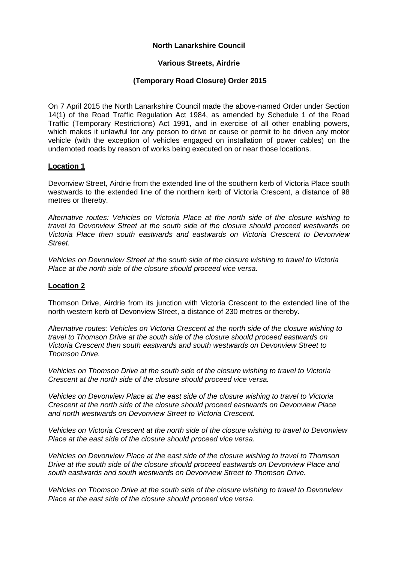## **North Lanarkshire Council**

## **Various Streets, Airdrie**

## **(Temporary Road Closure) Order 2015**

On 7 April 2015 the North Lanarkshire Council made the above-named Order under Section 14(1) of the Road Traffic Regulation Act 1984, as amended by Schedule 1 of the Road Traffic (Temporary Restrictions) Act 1991, and in exercise of all other enabling powers, which makes it unlawful for any person to drive or cause or permit to be driven any motor vehicle (with the exception of vehicles engaged on installation of power cables) on the undernoted roads by reason of works being executed on or near those locations.

#### **Location 1**

Devonview Street, Airdrie from the extended line of the southern kerb of Victoria Place south westwards to the extended line of the northern kerb of Victoria Crescent, a distance of 98 metres or thereby.

*Alternative routes: Vehicles on Victoria Place at the north side of the closure wishing to travel to Devonview Street at the south side of the closure should proceed westwards on Victoria Place then south eastwards and eastwards on Victoria Crescent to Devonview Street.*

*Vehicles on Devonview Street at the south side of the closure wishing to travel to Victoria Place at the north side of the closure should proceed vice versa.*

## **Location 2**

Thomson Drive, Airdrie from its junction with Victoria Crescent to the extended line of the north western kerb of Devonview Street, a distance of 230 metres or thereby.

*Alternative routes: Vehicles on Victoria Crescent at the north side of the closure wishing to travel to Thomson Drive at the south side of the closure should proceed eastwards on Victoria Crescent then south eastwards and south westwards on Devonview Street to Thomson Drive.*

*Vehicles on Thomson Drive at the south side of the closure wishing to travel to Victoria Crescent at the north side of the closure should proceed vice versa.*

*Vehicles on Devonview Place at the east side of the closure wishing to travel to Victoria Crescent at the north side of the closure should proceed eastwards on Devonview Place and north westwards on Devonview Street to Victoria Crescent.* 

*Vehicles on Victoria Crescent at the north side of the closure wishing to travel to Devonview Place at the east side of the closure should proceed vice versa.*

*Vehicles on Devonview Place at the east side of the closure wishing to travel to Thomson Drive at the south side of the closure should proceed eastwards on Devonview Place and south eastwards and south westwards on Devonview Street to Thomson Drive.*

*Vehicles on Thomson Drive at the south side of the closure wishing to travel to Devonview Place at the east side of the closure should proceed vice versa*.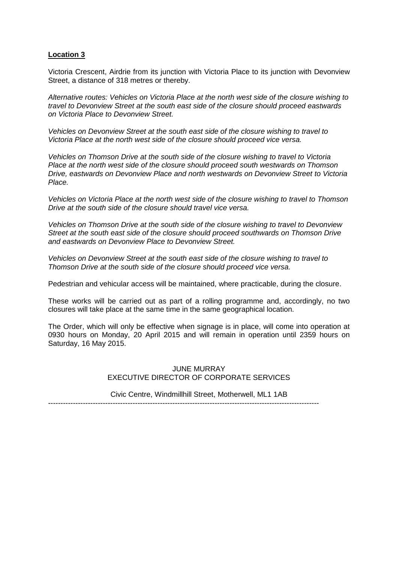#### **Location 3**

Victoria Crescent, Airdrie from its junction with Victoria Place to its junction with Devonview Street, a distance of 318 metres or thereby.

*Alternative routes: Vehicles on Victoria Place at the north west side of the closure wishing to travel to Devonview Street at the south east side of the closure should proceed eastwards on Victoria Place to Devonview Street.*

*Vehicles on Devonview Street at the south east side of the closure wishing to travel to Victoria Place at the north west side of the closure should proceed vice versa.*

*Vehicles on Thomson Drive at the south side of the closure wishing to travel to Victoria Place at the north west side of the closure should proceed south westwards on Thomson Drive, eastwards on Devonview Place and north westwards on Devonview Street to Victoria Place.* 

*Vehicles on Victoria Place at the north west side of the closure wishing to travel to Thomson Drive at the south side of the closure should travel vice versa.*

*Vehicles on Thomson Drive at the south side of the closure wishing to travel to Devonview Street at the south east side of the closure should proceed southwards on Thomson Drive and eastwards on Devonview Place to Devonview Street.* 

*Vehicles on Devonview Street at the south east side of the closure wishing to travel to Thomson Drive at the south side of the closure should proceed vice versa.*

Pedestrian and vehicular access will be maintained, where practicable, during the closure.

These works will be carried out as part of a rolling programme and, accordingly, no two closures will take place at the same time in the same geographical location.

The Order, which will only be effective when signage is in place, will come into operation at 0930 hours on Monday, 20 April 2015 and will remain in operation until 2359 hours on Saturday, 16 May 2015.

> JUNE MURRAY EXECUTIVE DIRECTOR OF CORPORATE SERVICES

Civic Centre, Windmillhill Street, Motherwell, ML1 1AB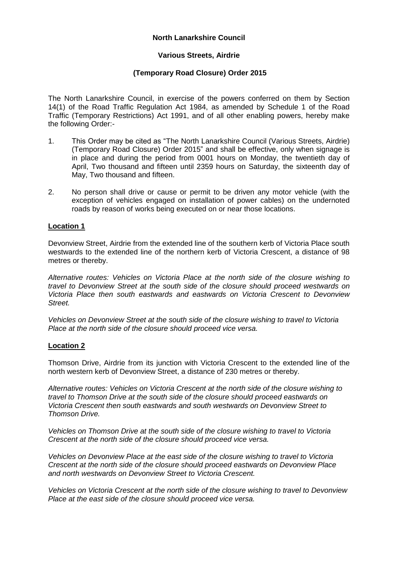## **North Lanarkshire Council**

# **Various Streets, Airdrie**

# **(Temporary Road Closure) Order 2015**

The North Lanarkshire Council, in exercise of the powers conferred on them by Section 14(1) of the Road Traffic Regulation Act 1984, as amended by Schedule 1 of the Road Traffic (Temporary Restrictions) Act 1991, and of all other enabling powers, hereby make the following Order:-

- 1. This Order may be cited as "The North Lanarkshire Council (Various Streets, Airdrie) (Temporary Road Closure) Order 2015" and shall be effective, only when signage is in place and during the period from 0001 hours on Monday, the twentieth day of April, Two thousand and fifteen until 2359 hours on Saturday, the sixteenth day of May, Two thousand and fifteen.
- 2. No person shall drive or cause or permit to be driven any motor vehicle (with the exception of vehicles engaged on installation of power cables) on the undernoted roads by reason of works being executed on or near those locations.

## **Location 1**

Devonview Street, Airdrie from the extended line of the southern kerb of Victoria Place south westwards to the extended line of the northern kerb of Victoria Crescent, a distance of 98 metres or thereby.

*Alternative routes: Vehicles on Victoria Place at the north side of the closure wishing to travel to Devonview Street at the south side of the closure should proceed westwards on Victoria Place then south eastwards and eastwards on Victoria Crescent to Devonview Street.*

*Vehicles on Devonview Street at the south side of the closure wishing to travel to Victoria Place at the north side of the closure should proceed vice versa.*

## **Location 2**

Thomson Drive, Airdrie from its junction with Victoria Crescent to the extended line of the north western kerb of Devonview Street, a distance of 230 metres or thereby.

*Alternative routes: Vehicles on Victoria Crescent at the north side of the closure wishing to travel to Thomson Drive at the south side of the closure should proceed eastwards on Victoria Crescent then south eastwards and south westwards on Devonview Street to Thomson Drive.*

*Vehicles on Thomson Drive at the south side of the closure wishing to travel to Victoria Crescent at the north side of the closure should proceed vice versa.*

*Vehicles on Devonview Place at the east side of the closure wishing to travel to Victoria Crescent at the north side of the closure should proceed eastwards on Devonview Place and north westwards on Devonview Street to Victoria Crescent.* 

*Vehicles on Victoria Crescent at the north side of the closure wishing to travel to Devonview Place at the east side of the closure should proceed vice versa.*